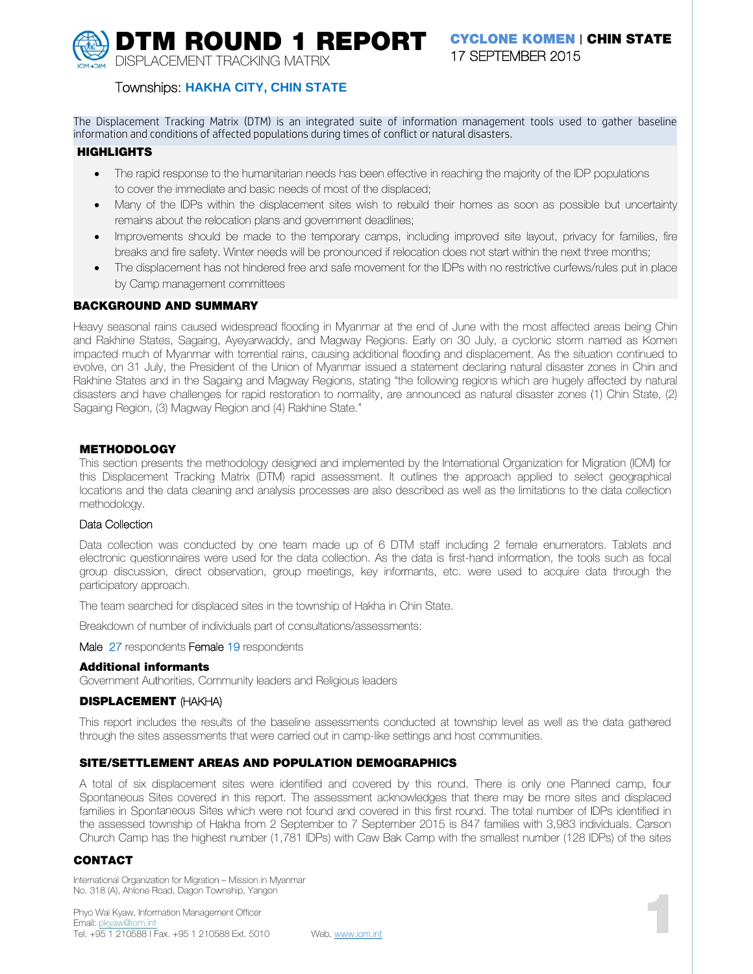**DISPI ACEMENT TRACKING MATRIX** 

# **DTM ROUND 1 REPORT** CYCLONE KOMEN | CHIN STATE 17 SEPTEMBER 2015

# Townships: HAKHA CITY, CHIN STATE

The Displacement Tracking Matrix (DTM) is an integrated suite of information management tools used to gather baseline information and conditions of affected populations during times of conflict or natural disasters.

#### **HIGHLIGHTS**

- The rapid response to the humanitarian needs has been effective in reaching the majority of the IDP populations to cover the immediate and basic needs of most of the displaced:
- Many of the IDPs within the displacement sites wish to rebuild their homes as soon as possible but uncertainty remains about the relocation plans and government deadlines;
- Improvements should be made to the temporary camps, including improved site layout, privacy for families, fire breaks and fire safety. Winter needs will be pronounced if relocation does not start within the next three months;
- The displacement has not hindered free and safe movement for the IDPs with no restrictive curfews/rules put in place  $\bullet$ by Camp management committees

### **BACKGROUND AND SUMMARY**

Heavy seasonal rains caused widespread flooding in Myanmar at the end of June with the most affected areas being Chin and Rakhine States, Sagaing, Ayeyarwaddy, and Magway Regions. Early on 30 July, a cyclonic storm named as Komen impacted much of Myanmar with torrential rains, causing additional flooding and displacement. As the situation continued to evolve, on 31 July, the President of the Union of Myanmar issued a statement declaring natural disaster zones in Chin and Rakhine States and in the Sagaing and Magway Regions, stating "the following regions which are hugely affected by natural disasters and have challenges for rapid restoration to normality, are announced as natural disaster zones (1) Chin State, (2) Sagaing Region, (3) Magway Region and (4) Rakhine State."

### **METHODOLOGY**

This section presents the methodology designed and implemented by the International Organization for Migration (IOM) for this Displacement Tracking Matrix (DTM) rapid assessment. It outlines the approach applied to select geographical locations and the data cleaning and analysis processes are also described as well as the limitations to the data collection methodology.

### Data Collection

Data collection was conducted by one team made up of 6 DTM staff including 2 female enumerators. Tablets and electronic questionnaires were used for the data collection. As the data is first-hand information, the tools such as focal group discussion, direct observation, group meetings, key informants, etc. were used to acquire data through the participatory approach.

The team searched for displaced sites in the township of Hakha in Chin State.

Breakdown of number of individuals part of consultations/assessments:

Male 27 respondents Female 19 respondents

### **Additional informants**

Government Authorities, Community leaders and Religious leaders

### **DISPLACEMENT (HAKHA)**

This report includes the results of the baseline assessments conducted at township level as well as the data gathered through the sites assessments that were carried out in camp-like settings and host communities.

### SITE/SETTLEMENT AREAS AND POPULATION DEMOGRAPHICS

A total of six displacement sites were identified and covered by this round. There is only one Planned camp, four Spontaneous Sites covered in this report. The assessment acknowledges that there may be more sites and displaced families in Spontaneous Sites which were not found and covered in this first round. The total number of IDPs identified in the assessed township of Hakha from 2 September to 7 September 2015 is 847 families with 3,983 individuals. Carson Church Camp has the highest number (1,781 IDPs) with Caw Bak Camp with the smallest number (128 IDPs) of the sites

### **CONTACT**

International Organization for Migration - Mission in Myanmar No. 318 (A), Ahlone Road, Dagon Township, Yangon

Phyo Wai Kyaw, Information Management Officer Fmail: pkvaw@iom.int Tel. +95 1 210588 | Fax. +95 1 210588 Ext. 5010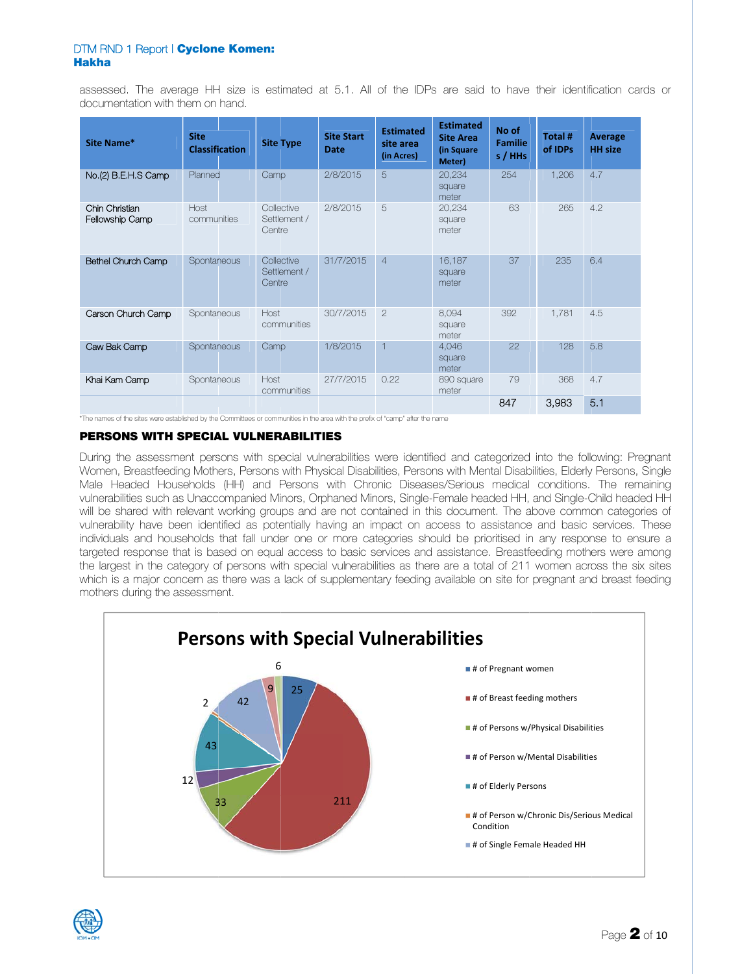assessed. The average HH size is estimated at 5.1. All of the IDPs are said to have their identification cards or documentation with them on hand.

| Site Name*                        | <b>Site</b><br><b>Classification</b> | <b>Site Type</b>                     | <b>Site Start</b><br><b>Date</b> | <b>Estimated</b><br>site area<br>(in Acres) | <b>Estimated</b><br><b>Site Area</b><br>(in Square<br>Meter) | No of<br><b>Familie</b><br>s / HHs | Total #<br>of IDPs | Average<br><b>HH</b> size |
|-----------------------------------|--------------------------------------|--------------------------------------|----------------------------------|---------------------------------------------|--------------------------------------------------------------|------------------------------------|--------------------|---------------------------|
| No.(2) B.E.H.S Camp               | Planned                              | Camp                                 | 2/8/2015                         | 5                                           | 20,234<br>square<br>meter                                    | 254                                | 1,206              | 4.7                       |
| Chin Christian<br>Fellowship Camp | Host<br>communities                  | Collective<br>Settlement /<br>Centre | 2/8/2015                         | 5                                           | 20,234<br>square<br>meter                                    | 63                                 | 265                | 4.2                       |
| Bethel Church Camp                | Spontaneous                          | Collective<br>Settlement /<br>Centre | 31/7/2015                        | $\overline{4}$                              | 16,187<br>square<br>meter                                    | 37                                 | 235                | 6.4                       |
| Carson Church Camp                | Spontaneous                          | Host<br>communities                  | 30/7/2015                        | $\overline{2}$                              | 8,094<br>square<br>meter                                     | 392                                | 1,781              | 4.5                       |
| Caw Bak Camp                      | Spontaneous                          | Camp                                 | 1/8/2015                         | $\overline{1}$                              | 4,046<br>square<br>meter                                     | 22                                 | 128                | 5.8                       |
| Khai Kam Camp                     | Spontaneous                          | Host<br>communities                  | 27/7/2015                        | 0.22                                        | 890 square<br>meter                                          | 79                                 | 368                | 4.7                       |
|                                   |                                      |                                      |                                  |                                             |                                                              | 847                                | 3.983              | 5.1                       |

\*The names of the sites were established by the Committees or communities in the area with the prefix of "camp" after the name

### PERSONS WITH SPECIAL VULNERABILITIES

During the assessment persons with special vulnerabilities were identified and categorized into the following: Pregnant Women, Breastfeeding Mothers, Persons with Physical Disabilities, Persons with Mental Disabilities, Elderly Persons, Single Male Headed Households (HH) and Persons with Chronic Diseases/Serious medical conditions. The remaining vulnerabilities such as Unaccompanied Minors, Orphaned Minors, Single-Female headed HH, and Single-Child headed HH will be shared with relevant working groups and are not contained in this document. The above common categories of vulnerability have been identified as potentially having an impact on access to assistance and basic services. These individuals and households that fall under one or more categories should be prioritised in any response to ensure a targeted response that is based on equal access to basic services and assistance. Breastfeeding mothers were among the largest in the category of persons with special vulnerabilities as there are a total of 211 women across the six sites which is a major concern as there was a lack of supplementary feeding available on site for pregnant and breast feeding mothers during the assessment.



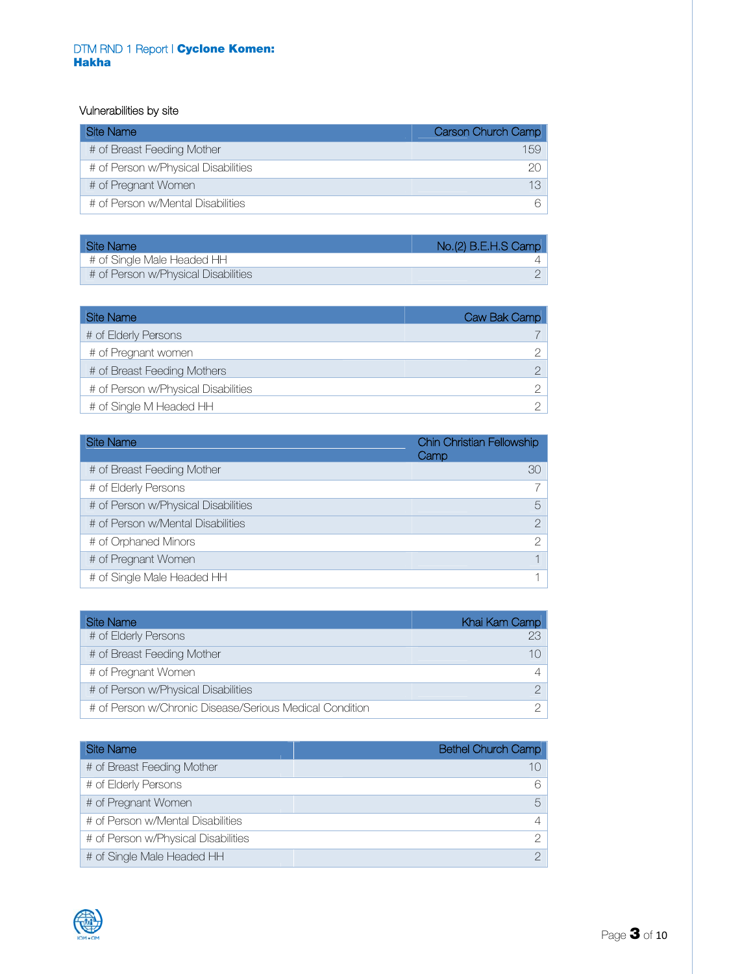# Vulnerabilities by site

| Site Name                           | Carson Church Camp |
|-------------------------------------|--------------------|
| # of Breast Feeding Mother          | 159                |
| # of Person w/Physical Disabilities | 20                 |
| # of Pregnant Women                 |                    |
| # of Person w/Mental Disabilities   | 6                  |

| Site Name                           | No.(2) B.E.H.S Camp |
|-------------------------------------|---------------------|
| # of Single Male Headed HH          |                     |
| # of Person w/Physical Disabilities |                     |

| Site Name                           | Caw Bak Camp |
|-------------------------------------|--------------|
| # of Elderly Persons                |              |
| # of Pregnant women                 |              |
| # of Breast Feeding Mothers         |              |
| # of Person w/Physical Disabilities |              |
| # of Single M Headed HH             |              |

| <b>Site Name</b>                    | Chin Christian Fellowship<br>Camp |
|-------------------------------------|-----------------------------------|
| # of Breast Feeding Mother          | 30                                |
| # of Elderly Persons                |                                   |
| # of Person w/Physical Disabilities | 5                                 |
| # of Person w/Mental Disabilities   | $\mathcal{P}$                     |
| # of Orphaned Minors                | $\mathcal{P}$                     |
| # of Pregnant Women                 |                                   |
| # of Single Male Headed HH          |                                   |

| Site Name                                               | Khai Kam Camp |
|---------------------------------------------------------|---------------|
| # of Elderly Persons                                    |               |
| # of Breast Feeding Mother                              |               |
| # of Pregnant Women                                     |               |
| # of Person w/Physical Disabilities                     |               |
| # of Person w/Chronic Disease/Serious Medical Condition |               |

| <b>Site Name</b>                    | <b>Bethel Church Camp</b> |
|-------------------------------------|---------------------------|
| # of Breast Feeding Mother          | 10                        |
| # of Elderly Persons                | 6                         |
| # of Pregnant Women                 | $5^{\circ}$               |
| # of Person w/Mental Disabilities   | $\overline{4}$            |
| # of Person w/Physical Disabilities | $\mathcal{D}$             |
| # of Single Male Headed HH          | $\mathcal{D}$             |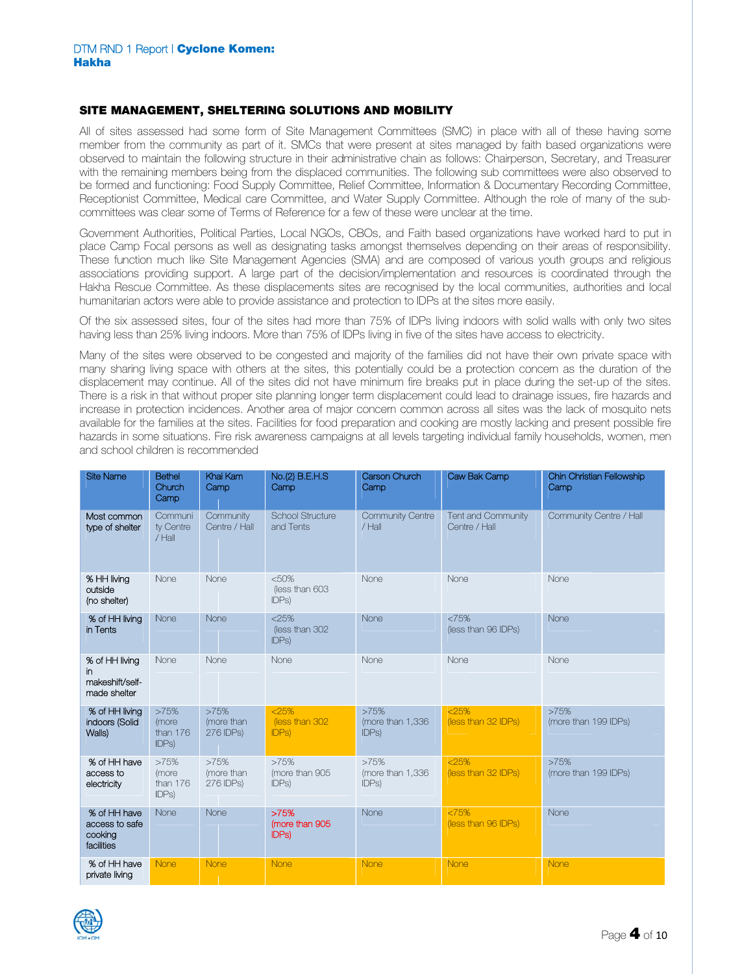### SITE MANAGEMENT. SHELTERING SOLUTIONS AND MOBILITY

All of sites assessed had some form of Site Management Committees (SMC) in place with all of these having some member from the community as part of it. SMCs that were present at sites managed by faith based organizations were observed to maintain the following structure in their administrative chain as follows: Chairperson, Secretary, and Treasurer with the remaining members being from the displaced communities. The following sub committees were also observed to be formed and functioning: Food Supply Committee, Relief Committee, Information & Documentary Recording Committee, Receptionist Committee, Medical care Committee, and Water Supply Committee. Although the role of many of the subcommittees was clear some of Terms of Beference for a few of these were unclear at the time.

Government Authorities, Political Parties, Local NGOs, CBOs, and Faith based organizations have worked hard to put in place Camp Focal persons as well as designating tasks amongst themselves depending on their areas of responsibility. These function much like Site Management Agencies (SMA) and are composed of various youth groups and religious associations providing support. A large part of the decision/implementation and resources is coordinated through the Hakha Rescue Committee. As these displacements sites are recognised by the local communities, authorities and local humanitarian actors were able to provide assistance and protection to IDPs at the sites more easily.

Of the six assessed sites, four of the sites had more than 75% of IDPs living indoors with solid walls with only two sites having less than 25% living indoors. More than 75% of IDPs living in five of the sites have access to electricity.

Many of the sites were observed to be congested and majority of the families did not have their own private space with many sharing living space with others at the sites, this potentially could be a protection concern as the duration of the displacement may continue. All of the sites did not have minimum fire breaks put in place during the set-up of the sites. There is a risk in that without proper site planning longer term displacement could lead to drainage issues, fire hazards and increase in protection incidences. Another area of major concern common across all sites was the lack of mosquito nets available for the families at the sites. Facilities for food preparation and cooking are mostly lacking and present possible fire hazards in some situations. Fire risk awareness campaigns at all levels targeting individual family households, women, men and school children is recommended

| <b>Site Name</b>                                        | <b>Bethel</b><br>Church<br>Camp    | Khai Kam<br>Camp                | No.(2) B.E.H.S<br>Camp                    | Carson Church<br>Camp               | Caw Bak Camp                        | Chin Christian Fellowship<br>Camp |
|---------------------------------------------------------|------------------------------------|---------------------------------|-------------------------------------------|-------------------------------------|-------------------------------------|-----------------------------------|
| Most common<br>type of shelter                          | Communi<br>ty Centre<br>$/$ Hall   | Community<br>Centre / Hall      | School Structure<br>and Tents             | <b>Community Centre</b><br>$/$ Hall | Tent and Community<br>Centre / Hall | Community Centre / Hall           |
| % HH living<br>outside<br>(no shelter)                  | None                               | None                            | <50%<br>(less than 603<br>IDPs            | None                                | None                                | None                              |
| % of HH living<br>in Tents                              | None                               | None                            | $<$ 25%<br>(less than 302<br>IDPs         | None                                | <75%<br>(less than 96 IDPs)         | None                              |
| % of HH living<br>in<br>makeshift/self-<br>made shelter | None                               | None                            | None                                      | None                                | None                                | None                              |
| % of HH living<br>indoors (Solid<br>Walls)              | >75%<br>(more<br>than 176<br>IDPs) | >75%<br>(more than<br>276 IDPs) | < 25%<br>(less than 302)<br><b>IDPs</b> ) | >75%<br>(more than 1,336<br>IDPs)   | < 25%<br>(less than 32 IDPs)        | >75%<br>(more than 199 IDPs)      |
| % of HH have<br>access to<br>electricity                | >75%<br>(more<br>than 176<br>IDPs) | >75%<br>(more than<br>276 IDPs) | >75%<br>(more than 905<br>IDPs)           | >75%<br>(more than 1,336)<br>IDPs)  | < 25%<br>(less than 32 IDPs)        | >75%<br>(more than 199 IDPs)      |
| % of HH have<br>access to safe<br>cooking<br>facilities | None                               | None                            | >75%<br>(more than 905<br><b>IDPs)</b>    | None                                | $<75\%$<br>(less than 96 IDPs)      | None                              |
| % of HH have<br>private living                          | None                               | None                            | None                                      | None                                | None                                | None                              |

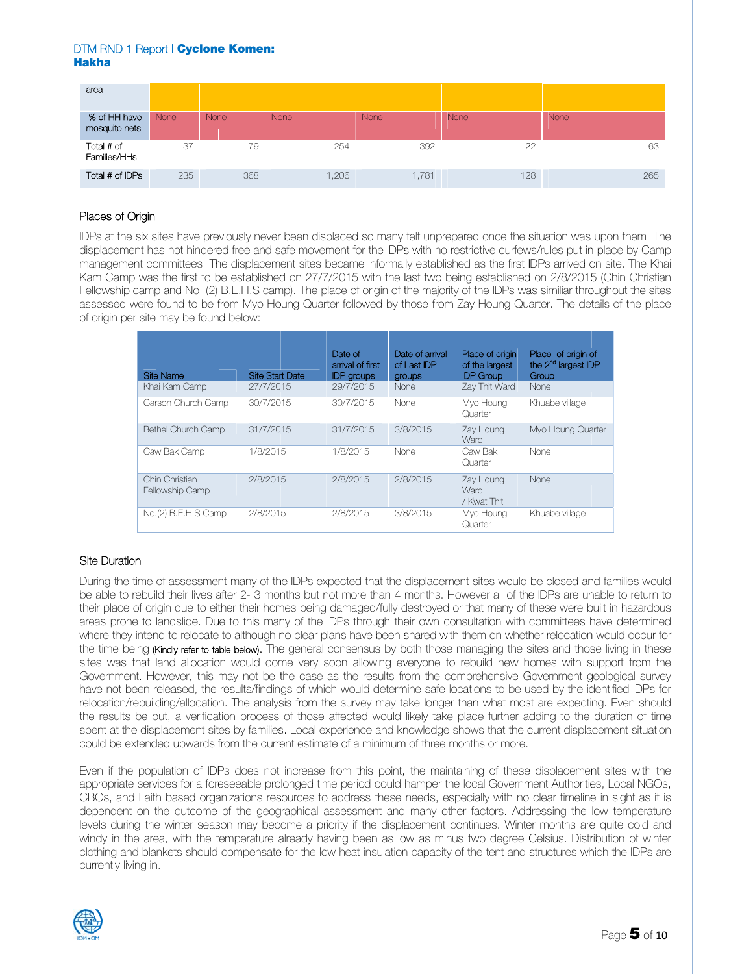| area                          |      |      |             |       |             |      |
|-------------------------------|------|------|-------------|-------|-------------|------|
| % of HH have<br>mosquito nets | None | None | <b>None</b> | None  | <b>None</b> | None |
| Total # of<br>Families/HHs    | 37   | 79   | 254         | 392   | 22          | 63   |
| Total # of IDPs               | 235  | 368  | 1,206       | 1,781 | 128         | 265  |

# Places of Origin

IDPs at the six sites have previously never been displaced so many felt unprepared once the situation was upon them. The displacement has not hindered free and safe movement for the IDPs with no restrictive curfews/rules put in place by Camp management committees. The displacement sites became informally established as the first IDPs arrived on site. The Khai Kam Camp was the first to be established on 27/7/2015 with the last two being established on 2/8/2015 (Chin Christian Fellowship camp and No. (2) B.E.H.S camp). The place of origin of the majority of the IDPs was similiar throughout the sites assessed were found to be from Myo Houng Quarter followed by those from Zay Houng Quarter. The details of the place of origin per site may be found below:

| Site Name                         | <b>Site Start Date</b> | Date of<br>arrival of first<br><b>IDP</b> groups | Date of arrival<br>of Last IDP<br>groups | Place of origin<br>of the largest<br><b>IDP Group</b> | Place of origin of<br>the 2 <sup>nd</sup> largest IDP<br>Group |
|-----------------------------------|------------------------|--------------------------------------------------|------------------------------------------|-------------------------------------------------------|----------------------------------------------------------------|
| Khai Kam Camp                     | 27/7/2015              | 29/7/2015                                        | <b>None</b>                              | Zay Thit Ward                                         | None                                                           |
| Carson Church Camp                | 30/7/2015              | 30/7/2015                                        | None                                     | Myo Houng<br>Quarter                                  | Khuabe village                                                 |
| <b>Bethel Church Camp</b>         | 31/7/2015              | 31/7/2015                                        | 3/8/2015                                 | Zay Houng<br>Ward                                     | Myo Houng Quarter                                              |
| Caw Bak Camp                      | 1/8/2015               | 1/8/2015                                         | None                                     | Caw Bak<br>Quarter                                    | None                                                           |
| Chin Christian<br>Fellowship Camp | 2/8/2015               | 2/8/2015                                         | 2/8/2015                                 | Zay Houng<br>Ward<br>/ Kwat Thit                      | None                                                           |
| No.(2) B.E.H.S Camp               | 2/8/2015               | 2/8/2015                                         | 3/8/2015                                 | Myo Houng<br>Quarter                                  | Khuabe village                                                 |

# **Site Duration**

During the time of assessment many of the IDPs expected that the displacement sites would be closed and families would be able to rebuild their lives after 2-3 months but not more than 4 months. However all of the IDPs are unable to return to their place of origin due to either their homes being damaged/fully destroyed or that many of these were built in hazardous areas prone to landslide. Due to this many of the IDPs through their own consultation with committees have determined where they intend to relocate to although no clear plans have been shared with them on whether relocation would occur for the time being (Kindly refer to table below). The general consensus by both those managing the sites and those living in these sites was that land allocation would come very soon allowing everyone to rebuild new homes with support from the Government. However, this may not be the case as the results from the comprehensive Government geological survey have not been released, the results/findings of which would determine safe locations to be used by the identified IDPs for relocation/rebuilding/allocation. The analysis from the survey may take longer than what most are expecting. Even should the results be out, a verification process of those affected would likely take place further adding to the duration of time spent at the displacement sites by families. Local experience and knowledge shows that the current displacement situation could be extended upwards from the current estimate of a minimum of three months or more.

Even if the population of IDPs does not increase from this point, the maintaining of these displacement sites with the appropriate services for a foreseeable prolonged time period could hamper the local Government Authorities, Local NGOs, CBOs, and Faith based organizations resources to address these needs, especially with no clear timeline in sight as it is dependent on the outcome of the geographical assessment and many other factors. Addressing the low temperature levels during the winter season may become a priority if the displacement continues. Winter months are quite cold and windy in the area, with the temperature already having been as low as minus two degree Celsius. Distribution of winter clothing and blankets should compensate for the low heat insulation capacity of the tent and structures which the IDPs are currently living in.

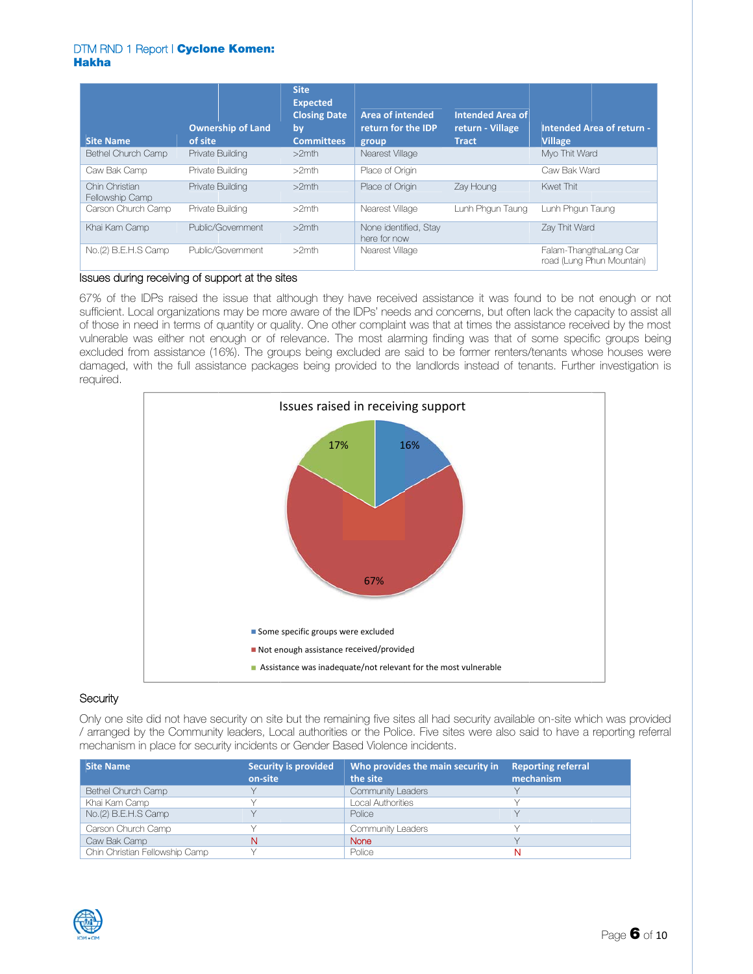| <b>Site Name</b>                  | <b>Ownership of Land</b><br>of site | <b>Site</b><br><b>Expected</b><br><b>Closing Date</b><br>by<br><b>Committees</b> | <b>Area of intended</b><br>return for the IDP<br>group | <b>Intended Area of</b><br>return - Village<br><b>Tract</b> | <b>Intended Area of return -</b><br><b>Village</b>  |
|-----------------------------------|-------------------------------------|----------------------------------------------------------------------------------|--------------------------------------------------------|-------------------------------------------------------------|-----------------------------------------------------|
| Bethel Church Camp                | Private Building                    | $>2$ mth                                                                         | Nearest Village                                        |                                                             | Myo Thit Ward                                       |
| Caw Bak Camp                      | Private Building                    | $>2$ mth                                                                         | Place of Origin                                        |                                                             | Caw Bak Ward                                        |
| Chin Christian<br>Fellowship Camp | Private Building                    | $>2$ mth                                                                         | Place of Origin                                        | Zay Houng                                                   | Kwet Thit                                           |
| Carson Church Camp                | Private Building                    | $>2$ mth                                                                         | Nearest Village                                        | Lunh Phgun Taung                                            | Lunh Phgun Taung                                    |
| Khai Kam Camp                     | Public/Government                   | $>2$ mth                                                                         | None identified, Stay<br>here for now                  |                                                             | Zay Thit Ward                                       |
| No.(2) B.E.H.S Camp               | Public/Government                   | $>2$ mth                                                                         | Nearest Village                                        |                                                             | Falam-ThangthaLang Car<br>road (Lung Phun Mountain) |

# Issues during receiving of support at the sites

67% of the IDPs raised the issue that although they have received assistance it was found to be not enough or not sufficient. Local organizations may be more aware of the IDPs' needs and concerns, but often lack the capacity to assist all of those in need in terms of quantity or quality. One other complaint was that at times the assistance received by the most vulnerable was either not enough or of relevance. The most alarming finding was that of some specific groups being excluded from assistance (16%). The groups being excluded are said to be former renters/tenants whose houses were damaged, with the full assistance packages being provided to the landlords instead of tenants. Further investigation is required.



## Security

Only one site did not have security on site but the remaining five sites all had security available on-site which was provided / arranged by the Community leaders, Local authorities or the Police. Five sites were also said to have a reporting referral mechanism in place for security incidents or Gender Based Violence incidents.

| <b>Site Name</b>               | <b>Security is provided</b><br>on-site | Who provides the main security in<br>the site | <b>Reporting referral</b><br>mechanism |
|--------------------------------|----------------------------------------|-----------------------------------------------|----------------------------------------|
| Bethel Church Camp             |                                        | Community Leaders                             |                                        |
| Khai Kam Camp                  |                                        | Local Authorities                             |                                        |
| No.(2) B.E.H.S Camp            |                                        | Police                                        |                                        |
| Carson Church Camp             |                                        | <b>Community Leaders</b>                      |                                        |
| Caw Bak Camp                   |                                        | None                                          |                                        |
| Chin Christian Fellowship Camp |                                        | Police                                        |                                        |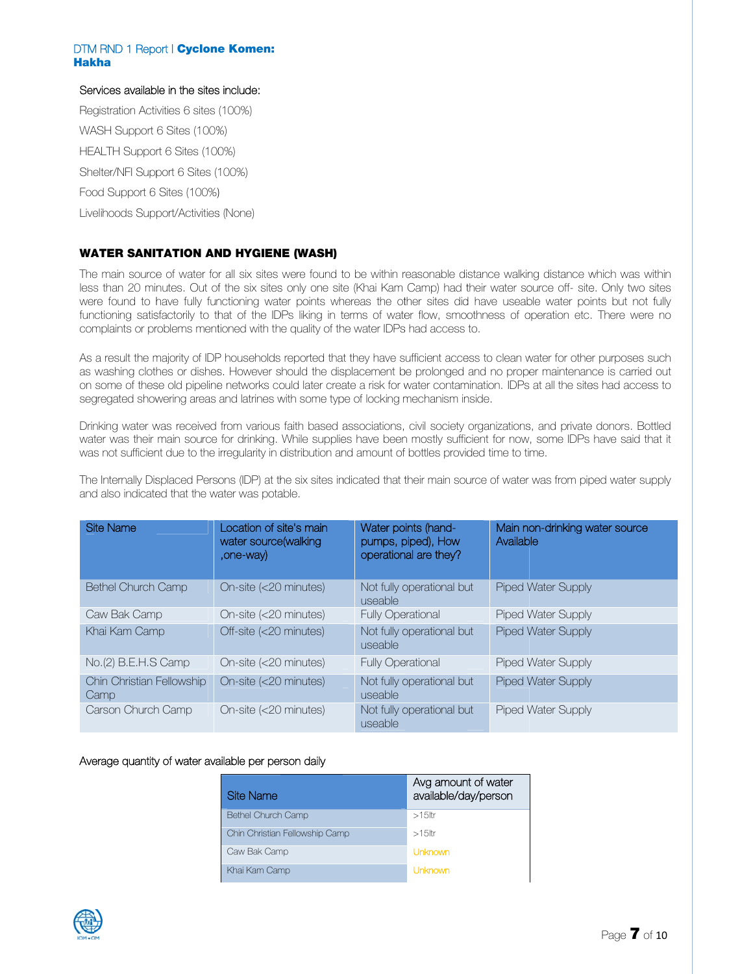## Services available in the sites include:

Registration Activities 6 sites (100%) WASH Support 6 Sites (100%) HEALTH Support 6 Sites (100%) Shelter/NFI Support 6 Sites (100%) Food Support 6 Sites (100%) Livelihoods Support/Activities (None)

# **WATER SANITATION AND HYGIENE (WASH)**

The main source of water for all six sites were found to be within reasonable distance walking distance which was within less than 20 minutes. Out of the six sites only one site (Khai Kam Camp) had their water source off- site. Only two sites were found to have fully functioning water points whereas the other sites did have useable water points but not fully functioning satisfactorily to that of the IDPs liking in terms of water flow, smoothness of operation etc. There were no complaints or problems mentioned with the quality of the water IDPs had access to.

As a result the majority of IDP households reported that they have sufficient access to clean water for other purposes such as washing clothes or dishes. However should the displacement be prolonged and no proper maintenance is carried out on some of these old pipeline networks could later create a risk for water contamination. IDPs at all the sites had access to segregated showering areas and latrines with some type of locking mechanism inside.

Drinking water was received from various faith based associations, civil society organizations, and private donors. Bottled water was their main source for drinking. While supplies have been mostly sufficient for now, some IDPs have said that it was not sufficient due to the irregularity in distribution and amount of bottles provided time to time.

The Internally Displaced Persons (IDP) at the six sites indicated that their main source of water was from piped water supply and also indicated that the water was potable.

| <b>Site Name</b>                  | Location of site's main<br>water source(walking<br>,one-way) | Water points (hand-<br>pumps, piped), How<br>operational are they? | Main non-drinking water source<br>Available |
|-----------------------------------|--------------------------------------------------------------|--------------------------------------------------------------------|---------------------------------------------|
| <b>Bethel Church Camp</b>         | On-site (<20 minutes)                                        | Not fully operational but<br>useable                               | <b>Piped Water Supply</b>                   |
| Caw Bak Camp                      | On-site (<20 minutes)                                        | <b>Fully Operational</b>                                           | <b>Piped Water Supply</b>                   |
| Khai Kam Camp                     | Off-site (<20 minutes)                                       | Not fully operational but<br>useable                               | <b>Piped Water Supply</b>                   |
| No.(2) B.E.H.S Camp               | On-site (<20 minutes)                                        | <b>Fully Operational</b>                                           | <b>Piped Water Supply</b>                   |
| Chin Christian Fellowship<br>Camp | On-site (<20 minutes)                                        | Not fully operational but<br>useable                               | <b>Piped Water Supply</b>                   |
| Carson Church Camp                | On-site (<20 minutes)                                        | Not fully operational but<br>useable                               | <b>Piped Water Supply</b>                   |

### Average quantity of water available per person daily

| Site Name                      | Avg amount of water<br>available/day/person |
|--------------------------------|---------------------------------------------|
| <b>Bethel Church Camp</b>      | $>15$ ltr                                   |
| Chin Christian Fellowship Camp | $>15$ ltr                                   |
| Caw Bak Camp                   | Unknown                                     |
| Khai Kam Camp                  | Unknown                                     |

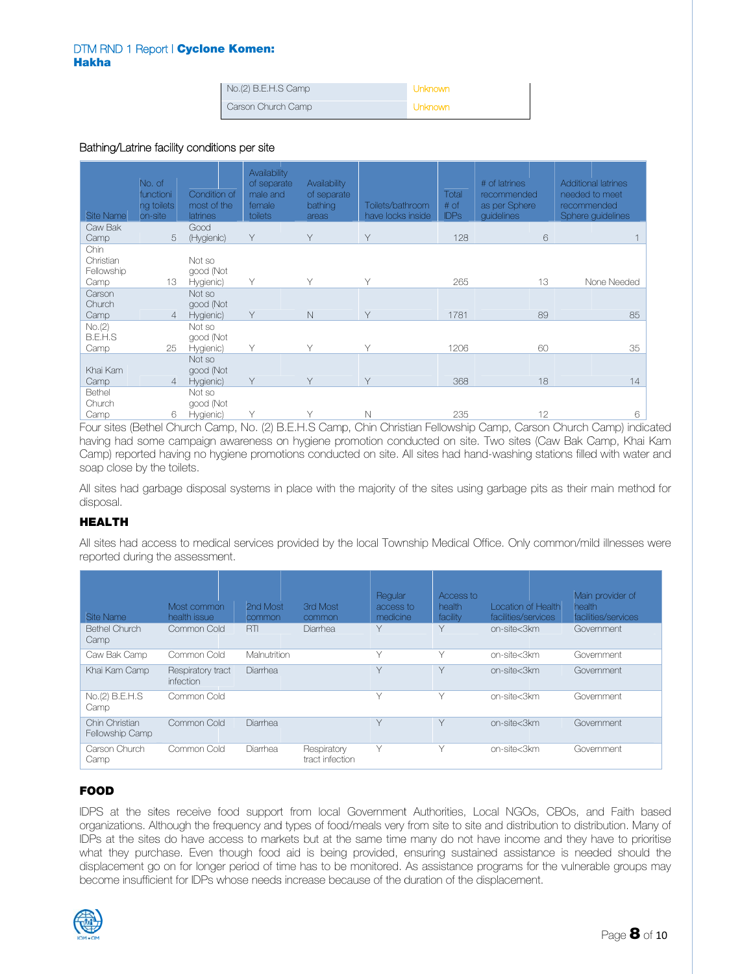| No.(2) B.E.H.S Camp | Unknown |
|---------------------|---------|
| Carson Church Camp  | Unknown |

### Bathing/Latrine facility conditions per site

| <b>Site Name</b>                        | No. of<br>functioni<br>ng toilets<br>on-site | Condition of<br>most of the<br>latrines | Availability<br>of separate<br>male and<br>female<br>toilets | Availability<br>of separate<br>bathing<br>areas | Toilets/bathroom<br>have locks inside | Total<br># of<br><b>IDPs</b> | # of latrines<br>recommended<br>as per Sphere<br>quidelines | <b>Additional latrines</b><br>needed to meet<br>recommended<br>Sphere guidelines                                |
|-----------------------------------------|----------------------------------------------|-----------------------------------------|--------------------------------------------------------------|-------------------------------------------------|---------------------------------------|------------------------------|-------------------------------------------------------------|-----------------------------------------------------------------------------------------------------------------|
| Caw Bak                                 |                                              | Good                                    |                                                              | Υ                                               |                                       |                              |                                                             |                                                                                                                 |
| Camp                                    | 5                                            | (Hygienic)                              | Υ                                                            |                                                 | Y                                     | 128                          | 6                                                           |                                                                                                                 |
| Chin<br>Christian<br>Fellowship<br>Camp | 13                                           | Not so<br>good (Not<br>Hygienic)        | Υ                                                            | Υ                                               | Υ                                     | 265                          | 13                                                          | None Needed                                                                                                     |
| Carson<br>Church<br>Camp                | 4                                            | Not so<br>good (Not<br>Hygienic)        | Y                                                            | $\mathbb N$                                     | Y                                     | 1781                         | 89                                                          | 85                                                                                                              |
| No.(2)<br>B.E.H.S<br>Camp               | 25                                           | Not so<br>good (Not<br>Hygienic)        | Υ                                                            | ٧                                               | $\vee$                                | 1206                         | 60                                                          | 35                                                                                                              |
| Khai Kam<br>Camp                        | 4                                            | Not so<br>good (Not<br>Hygienic)        | Υ                                                            | Υ                                               | Υ                                     | 368                          | 18                                                          | 14                                                                                                              |
| Bethel<br>Church                        |                                              | Not so<br>good (Not                     |                                                              |                                                 |                                       |                              |                                                             |                                                                                                                 |
| Camp                                    | 6                                            | Hygienic)                               | Υ                                                            | ٧                                               | N                                     | 235                          | 12                                                          | 6                                                                                                               |
|                                         |                                              |                                         |                                                              |                                                 |                                       |                              |                                                             | Four sites (Bethel Church Camp, No. (2) B.E.H.S Camp, Chin Christian Fellowship Camp, Carson Church Camp) indid |

Four sites (Bethel Church Camp, No. (2) B.E.H.S Camp, Chin Christian Fellowship Camp, Carson Church Camp) indicated having had some campaign awareness on hygiene promotion conducted on site. Two sites (Caw Bak Camp, Khai Kam Camp) reported having no hygiene promotions conducted on site. All sites had hand-washing stations filled with water and soa ap close by th he toilets.

All sites had garbage disposal systems in place with the majority of the sites using garbage pits as their main method for dis posal.

## HE EALTH

All sites had access to medical services provided by the local Township Medical Office. Only common/mild illnesses were reported during the assessment.

| Site Name                         | Most common<br>health issue    | 2nd Most<br>common | <b>Brd Most</b><br>common      | Regular<br>access to<br>medicine | Access to<br>health<br>facility | Location of Health<br>facilities/services | Main provider of<br>health<br>facilities/services |
|-----------------------------------|--------------------------------|--------------------|--------------------------------|----------------------------------|---------------------------------|-------------------------------------------|---------------------------------------------------|
| <b>Bethel Church</b><br>Camp      | Common Cold                    | <b>RTI</b>         | Diarrhea                       | $\vee$                           | $\vee$                          | on-site<3km                               | Government                                        |
| Caw Bak Camp                      | Common Cold                    | Malnutrition       |                                | $\vee$                           | ∨                               | on-site<3km                               | Government                                        |
| Khai Kam Camp                     | Respiratory tract<br>infection | Diarrhea           |                                | $\vee$                           | $\vee$                          | on-site<3km                               | Government                                        |
| No.(2) B.E.H.S<br>Camp            | Common Cold                    |                    |                                | $\checkmark$                     | ∨                               | on-site<3km                               | Government                                        |
| Chin Christian<br>Fellowship Camp | Common Cold                    | Diarrhea           |                                | ٧                                | Y                               | on-site<3km                               | Government                                        |
| Carson Church<br>Camp             | Common Cold                    | Diarrhea           | Respiratory<br>tract infection | Υ                                |                                 | on-site<3km                               | Government                                        |

## FO OOD

IDPS at the sites receive food support from local Government Authorities, Local NGOs, CBOs, and Faith based organizations. Although the frequency and types of food/meals very from site to site and distribution to distribution. Many of IDPs at the sites do have access to markets but at the same time many do not have income and they have to prioritise what they purchase. Even though food aid is being provided, ensuring sustained assistance is needed should the displacement go on for longer period of time has to be monitored. As assistance programs for the vulnerable groups may become insufficient for IDPs whose needs increase because of the duration of the displacement.

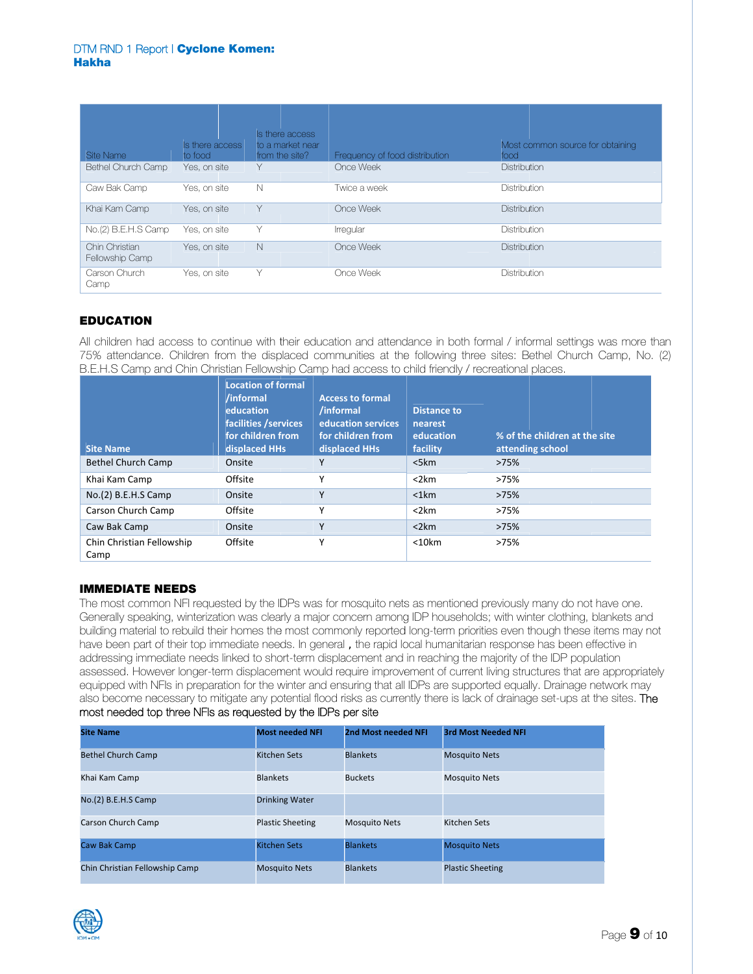| Site Name                         | Is there access<br>to food | Is there access<br>to a market near<br>from the site? | Frequency of food distribution | Most common source for obtaining<br>food |
|-----------------------------------|----------------------------|-------------------------------------------------------|--------------------------------|------------------------------------------|
| Bethel Church Camp                | Yes, on site               | Υ                                                     | Once Week                      | Distribution                             |
| Caw Bak Camp                      | Yes, on site               | $\mathbb N$                                           | Twice a week                   | Distribution                             |
| Khai Kam Camp                     | Yes, on site               | Υ                                                     | Once Week                      | Distribution                             |
| No.(2) B.E.H.S Camp               | Yes, on site               | Υ                                                     | Irregular                      | Distribution                             |
| Chin Christian<br>Fellowship Camp | Yes, on site               | N                                                     | Once Week                      | Distribution                             |
| Carson Church<br>Camp             | Yes, on site               | Y                                                     | Once Week                      | Distribution                             |

# ED DUCATION

All children had access to continue with their education and attendance in both formal / informal settings was more than 75% attendance. Children from the displaced communities at the following three sites: Bethel Church Camp, No. (2) B.E.H.S Camp and Chin Christian Fellowship Camp had access to child friendly / recreational places.

| <b>Site Name</b>                  | <b>Location of formal</b><br>/informal<br>education<br>facilities / services<br>for children from<br>displaced HHs | <b>Access to formal</b><br>/informal<br>education services<br>for children from<br>displaced HHs | <b>Distance to</b><br>nearest<br>education<br>facility | % of the children at the site<br>attending school |
|-----------------------------------|--------------------------------------------------------------------------------------------------------------------|--------------------------------------------------------------------------------------------------|--------------------------------------------------------|---------------------------------------------------|
| <b>Bethel Church Camp</b>         | Onsite                                                                                                             | γ                                                                                                | $<$ 5 $km$                                             | >75%                                              |
| Khai Kam Camp                     | Offsite                                                                                                            | v                                                                                                | $<$ 2 $km$                                             | >75%                                              |
| No.(2) B.E.H.S Camp               | Onsite                                                                                                             | Υ                                                                                                | $<$ 1 $km$                                             | >75%                                              |
| Carson Church Camp                | Offsite                                                                                                            | v                                                                                                | $<$ 2 $km$                                             | >75%                                              |
| Caw Bak Camp                      | Onsite                                                                                                             | Υ                                                                                                | $<$ 2 $km$                                             | >75%                                              |
| Chin Christian Fellowship<br>Camp | Offsite                                                                                                            | v                                                                                                | $<$ 10 $km$                                            | >75%                                              |

## IMMEDIATE NEEDS

The most common NFI requested by the IDPs was for mosquito nets as mentioned previously many do not have one. Generally speaking, winterization was clearly a major concern among IDP households; with winter clothing, blankets and building material to rebuild their homes the most commonly reported long-term priorities even though these items may not have been part of their top immediate needs. In general, the rapid local humanitarian response has been effective in addressing immediate needs linked to short-term displacement and in reaching the majority of the IDP population assessed. However longer-term displacement would require improvement of current living structures that are appropriately equipped with NFIs in preparation for the winter and ensuring that all IDPs are supported equally. Drainage network may also become necessary to mitigate any potential flood risks as currently there is lack of drainage set-ups at the sites. The most needed top three NFIs as requested by the IDPs per site

| <b>Site Name</b>               | <b>Most needed NFI</b>  | 2nd Most needed NFI  | <b>3rd Most Needed NFI</b> |
|--------------------------------|-------------------------|----------------------|----------------------------|
| <b>Bethel Church Camp</b>      | <b>Kitchen Sets</b>     | <b>Blankets</b>      | <b>Mosquito Nets</b>       |
| Khai Kam Camp                  | <b>Blankets</b>         | <b>Buckets</b>       | <b>Mosquito Nets</b>       |
| No.(2) B.E.H.S Camp            | <b>Drinking Water</b>   |                      |                            |
| Carson Church Camp             | <b>Plastic Sheeting</b> | <b>Mosquito Nets</b> | Kitchen Sets               |
| Caw Bak Camp                   | <b>Kitchen Sets</b>     | <b>Blankets</b>      | <b>Mosquito Nets</b>       |
| Chin Christian Fellowship Camp | <b>Mosquito Nets</b>    | <b>Blankets</b>      | <b>Plastic Sheeting</b>    |